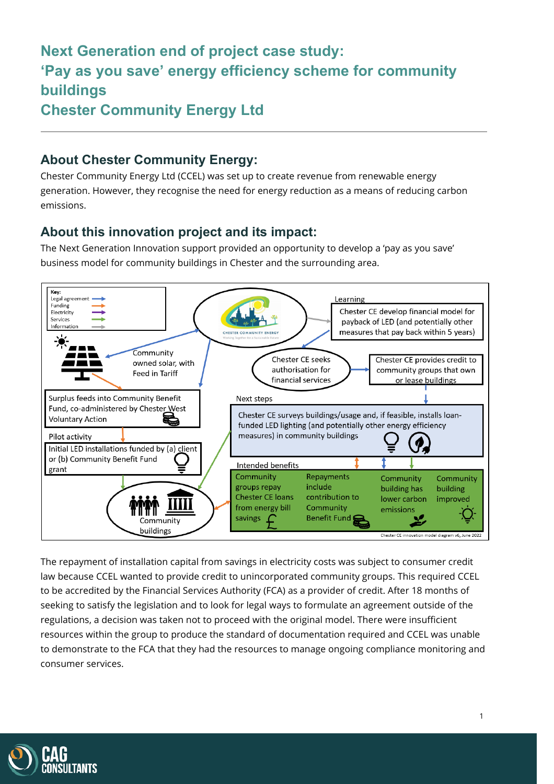# **Next Generation end of project case study: 'Pay as you save' energy efficiency scheme for community buildings Chester Community Energy Ltd**

### **About Chester Community Energy:**

Chester Community Energy Ltd (CCEL) was set up to create revenue from renewable energy generation. However, they recognise the need for energy reduction as a means of reducing carbon emissions.

#### **About this innovation project and its impact:**

The Next Generation Innovation support provided an opportunity to develop a 'pay as you save' business model for community buildings in Chester and the surrounding area.



The repayment of installation capital from savings in electricity costs was subject to consumer credit law because CCEL wanted to provide credit to unincorporated community groups. This required CCEL to be accredited by the Financial Services Authority (FCA) as a provider of credit. After 18 months of seeking to satisfy the legislation and to look for legal ways to formulate an agreement outside of the regulations, a decision was taken not to proceed with the original model. There were insufficient resources within the group to produce the standard of documentation required and CCEL was unable to demonstrate to the FCA that they had the resources to manage ongoing compliance monitoring and consumer services.

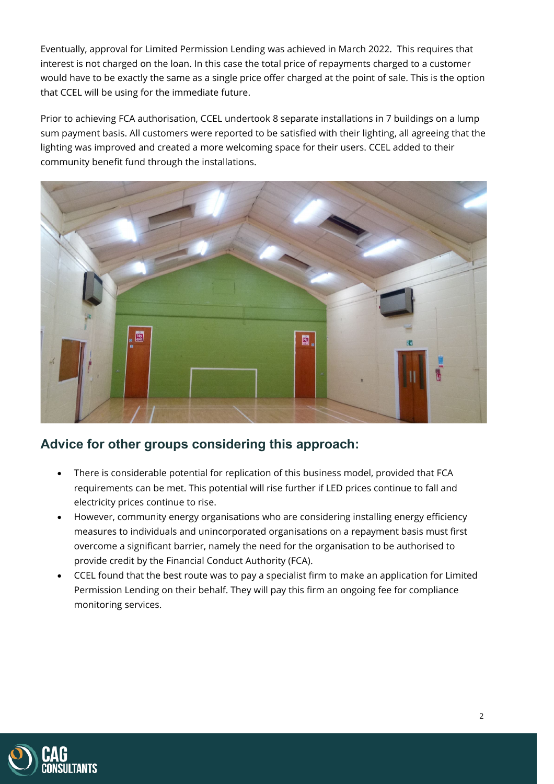Eventually, approval for Limited Permission Lending was achieved in March 2022. This requires that interest is not charged on the loan. In this case the total price of repayments charged to a customer would have to be exactly the same as a single price offer charged at the point of sale. This is the option that CCEL will be using for the immediate future.

Prior to achieving FCA authorisation, CCEL undertook 8 separate installations in 7 buildings on a lump sum payment basis. All customers were reported to be satisfied with their lighting, all agreeing that the lighting was improved and created a more welcoming space for their users. CCEL added to their community benefit fund through the installations.



## **Advice for other groups considering this approach:**

- There is considerable potential for replication of this business model, provided that FCA requirements can be met. This potential will rise further if LED prices continue to fall and electricity prices continue to rise.
- However, community energy organisations who are considering installing energy efficiency measures to individuals and unincorporated organisations on a repayment basis must first overcome a significant barrier, namely the need for the organisation to be authorised to provide credit by the Financial Conduct Authority (FCA).
- CCEL found that the best route was to pay a specialist firm to make an application for Limited Permission Lending on their behalf. They will pay this firm an ongoing fee for compliance monitoring services.